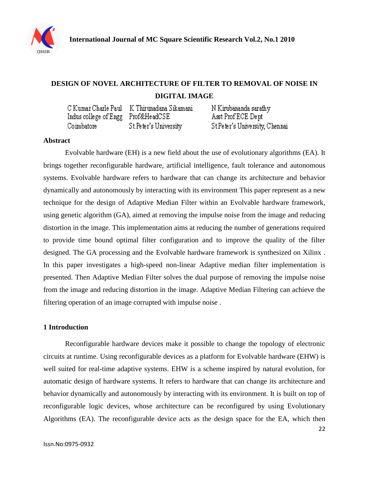

# **DESIGN OF NOVEL ARCHITECTURE OF FILTER TO REMOVAL OF NOISE IN DIGITAL IMAGE**

|                                    | C Kumar Charle Paul — K Thirunadana Sikamani | N Kirubananda sarathy          |
|------------------------------------|----------------------------------------------|--------------------------------|
| Indus college of Engg Prof&HeadCSE |                                              | Asst Prof ECE Dept             |
| Coimbatore                         | St.Peter's University                        | St.Peter's University, Chennai |

#### **Abstract**

Evolvable hardware (EH) is a new field about the use of [evolutionary algorithms](http://en.wikipedia.org/wiki/Evolutionary_algorithm) (EA). It brings together reconfigurable [hardware,](http://en.wikipedia.org/wiki/Hardware) [artificial intelligence,](http://en.wikipedia.org/wiki/Artificial_intelligence) [fault tolerance](http://en.wikipedia.org/wiki/Fault_tolerance) and autonomous [systems.](http://en.wikipedia.org/wiki/System) Evolvable hardware refers to hardware that can change its architecture and behavior dynamically and autonomously by interacting with its environment This paper represent as a new technique for the design of Adaptive Median Filter within an Evolvable hardware framework, using genetic algorithm (GA), aimed at removing the impulse noise from the image and reducing distortion in the image. This implementation aims at reducing the number of generations required to provide time bound optimal filter configuration and to improve the quality of the filter designed. The GA processing and the Evolvable hardware framework is synthesized on Xilinx . In this paper investigates a high-speed non-linear Adaptive median filter implementation is presented. Then Adaptive Median Filter solves the dual purpose of removing the impulse noise from the image and reducing distortion in the image. Adaptive Median Filtering can achieve the filtering operation of an image corrupted with impulse noise .

#### **1 Introduction**

Reconfigurable hardware devices make it possible to change the topology of electronic circuits at runtime. Using reconfigurable devices as a platform for Evolvable hardware (EHW) is well suited for real-time adaptive systems. EHW is a scheme inspired by natural evolution, for automatic design of hardware systems. It refers to hardware that can change its architecture and behavior dynamically and autonomously by interacting with its environment. It is built on top of reconfigurable logic devices, whose architecture can be reconfigured by using Evolutionary Algorithms (EA). The reconfigurable device acts as the design space for the EA, which then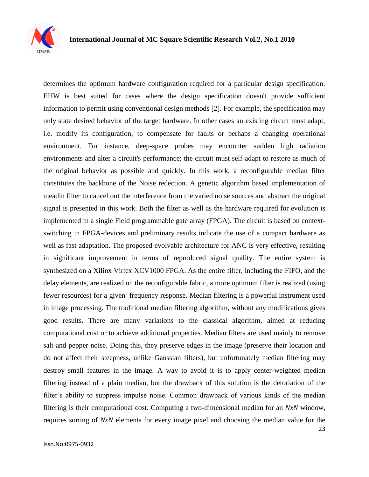

determines the optimum hardware configuration required for a particular design specification. EHW is best suited for cases where the design specification doesn't provide sufficient information to permit using conventional design methods [2]. For example, the specification may only state desired behavior of the target hardware. In other cases an existing circuit must adapt, i.e. modify its configuration, to compensate for faults or perhaps a changing operational environment. For instance, deep-space probes may encounter sudden high radiation environments and alter a circuit's performance; the circuit must self-adapt to restore as much of the original behavior as possible and quickly. In this work, a reconfigurable median filter constitutes the backbone of the Noise redection. A genetic algorithm based implementation of meadin filter to cancel out the interference from the varied noise sources and abstract the original signal is presented in this work. Both the filter as well as the hardware required for evolution is implemented in a single Field programmable gate array (FPGA). The circuit is based on contextswitching in FPGA-devices and preliminary results indicate the use of a compact hardware as well as fast adaptation. The proposed evolvable architecture for ANC is very effective, resulting in significant improvement in terms of reproduced signal quality. The entire system is synthesized on a Xilinx Virtex XCV1000 FPGA. As the entire filter, including the FIFO, and the delay elements, are realized on the reconfigurable fabric, a more optimum filter is realized (using fewer resources) for a given frequency response. Median filtering is a powerful instrument used in image processing. The traditional median filtering algorithm, without any modifications gives good results. There are many variations to the classical algorithm, aimed at reducing computational cost or to achieve additional properties. Median filters are used mainly to remove salt-and pepper noise. Doing this, they preserve edges in the image (preserve their location and do not affect their steepness, unlike Gaussian filters), but unfortunately median filtering may destroy small features in the image. A way to avoid it is to apply center-weighted median filtering instead of a plain median, but the drawback of this solution is the detoriation of the filter"s ability to suppress impulse noise. Common drawback of various kinds of the median filtering is their computational cost. Computing a two-dimensional median for an *NxN* window, requires sorting of *NxN* elements for every image pixel and choosing the median value for the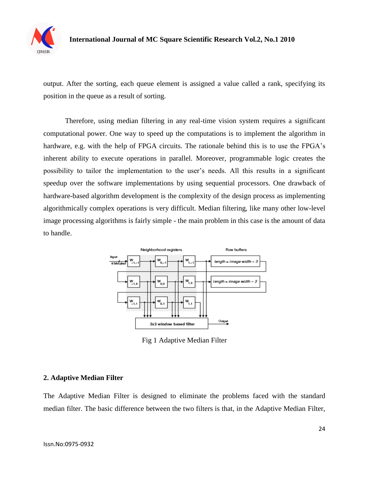

output. After the sorting, each queue element is assigned a value called a rank, specifying its position in the queue as a result of sorting.

Therefore, using median filtering in any real-time vision system requires a significant computational power. One way to speed up the computations is to implement the algorithm in hardware, e.g. with the help of FPGA circuits. The rationale behind this is to use the FPGA's inherent ability to execute operations in parallel. Moreover, programmable logic creates the possibility to tailor the implementation to the user"s needs. All this results in a significant speedup over the software implementations by using sequential processors. One drawback of hardware-based algorithm development is the complexity of the design process as implementing algorithmically complex operations is very difficult. Median filtering, like many other low-level image processing algorithms is fairly simple - the main problem in this case is the amount of data to handle.



Fig 1 Adaptive Median Filter

# **2. Adaptive Median Filter**

The Adaptive Median Filter is designed to eliminate the problems faced with the standard median filter. The basic difference between the two filters is that, in the Adaptive Median Filter,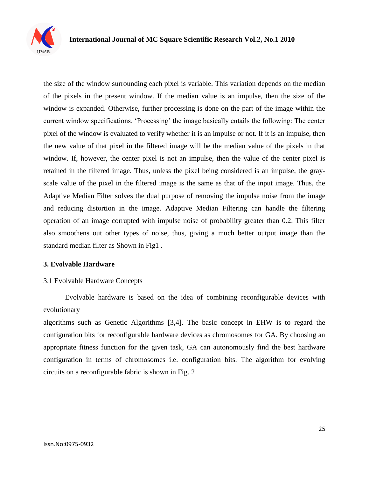

the size of the window surrounding each pixel is variable. This variation depends on the median of the pixels in the present window. If the median value is an impulse, then the size of the window is expanded. Otherwise, further processing is done on the part of the image within the current window specifications. "Processing" the image basically entails the following: The center pixel of the window is evaluated to verify whether it is an impulse or not. If it is an impulse, then the new value of that pixel in the filtered image will be the median value of the pixels in that window. If, however, the center pixel is not an impulse, then the value of the center pixel is retained in the filtered image. Thus, unless the pixel being considered is an impulse, the grayscale value of the pixel in the filtered image is the same as that of the input image. Thus, the Adaptive Median Filter solves the dual purpose of removing the impulse noise from the image and reducing distortion in the image. Adaptive Median Filtering can handle the filtering operation of an image corrupted with impulse noise of probability greater than 0.2. This filter also smoothens out other types of noise, thus, giving a much better output image than the standard median filter as Shown in Fig1 .

#### **3. Evolvable Hardware**

#### 3.1 Evolvable Hardware Concepts

Evolvable hardware is based on the idea of combining reconfigurable devices with evolutionary

algorithms such as Genetic Algorithms [3,4]. The basic concept in EHW is to regard the configuration bits for reconfigurable hardware devices as chromosomes for GA. By choosing an appropriate fitness function for the given task, GA can autonomously find the best hardware configuration in terms of chromosomes i.e. configuration bits. The algorithm for evolving circuits on a reconfigurable fabric is shown in Fig. 2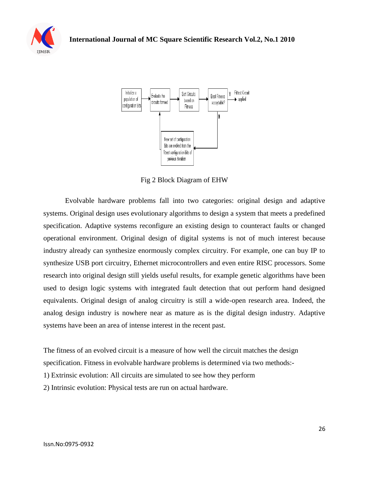



Fig 2 Block Diagram of EHW

Evolvable hardware problems fall into two categories: original design and adaptive systems. Original design uses evolutionary algorithms to design a system that meets a predefined specification. Adaptive systems reconfigure an existing design to counteract faults or changed operational environment. Original design of digital systems is not of much interest because industry already can synthesize enormously complex circuitry. For example, one can buy IP to synthesize USB port circuitry, Ethernet microcontrollers and even entire RISC processors. Some research into original design still yields useful results, for example genetic algorithms have been used to design logic systems with integrated fault detection that out perform hand designed equivalents. Original design of analog circuitry is still a wide-open research area. Indeed, the analog design industry is nowhere near as mature as is the digital design industry. Adaptive systems have been an area of intense interest in the recent past.

The fitness of an evolved circuit is a measure of how well the circuit matches the design specification. Fitness in evolvable hardware problems is determined via two methods:- 1) Extrinsic evolution: All circuits are simulated to see how they perform 2) Intrinsic evolution: Physical tests are run on actual hardware.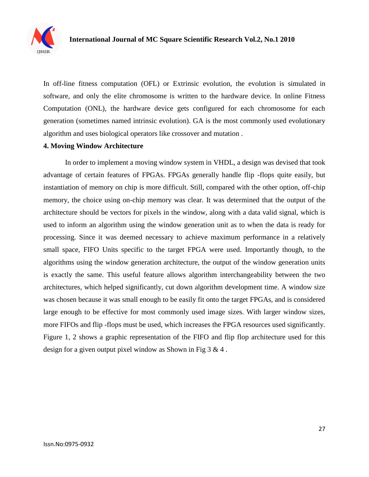

In off-line fitness computation (OFL) or Extrinsic evolution, the evolution is simulated in software, and only the elite chromosome is written to the hardware device. In online Fitness Computation (ONL), the hardware device gets configured for each chromosome for each generation (sometimes named intrinsic evolution). GA is the most commonly used evolutionary algorithm and uses biological operators like crossover and mutation .

#### **4. Moving Window Architecture**

In order to implement a moving window system in VHDL, a design was devised that took advantage of certain features of FPGAs. FPGAs generally handle flip -flops quite easily, but instantiation of memory on chip is more difficult. Still, compared with the other option, off-chip memory, the choice using on-chip memory was clear. It was determined that the output of the architecture should be vectors for pixels in the window, along with a data valid signal, which is used to inform an algorithm using the window generation unit as to when the data is ready for processing. Since it was deemed necessary to achieve maximum performance in a relatively small space, FIFO Units specific to the target FPGA were used. Importantly though, to the algorithms using the window generation architecture, the output of the window generation units is exactly the same. This useful feature allows algorithm interchangeability between the two architectures, which helped significantly, cut down algorithm development time. A window size was chosen because it was small enough to be easily fit onto the target FPGAs, and is considered large enough to be effective for most commonly used image sizes. With larger window sizes, more FIFOs and flip -flops must be used, which increases the FPGA resources used significantly. Figure 1, 2 shows a graphic representation of the FIFO and flip flop architecture used for this design for a given output pixel window as Shown in Fig  $3 \& 4$ .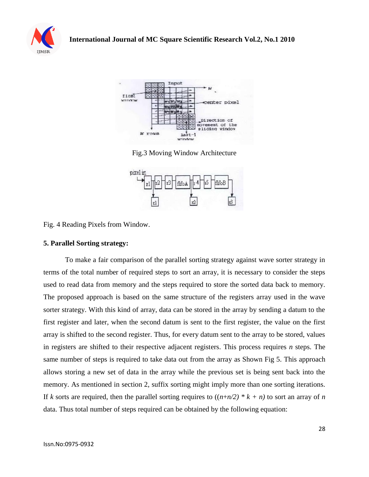



Fig.3 Moving Window Architecture



Fig. 4 Reading Pixels from Window.

#### **5. Parallel Sorting strategy:**

To make a fair comparison of the parallel sorting strategy against wave sorter strategy in terms of the total number of required steps to sort an array, it is necessary to consider the steps used to read data from memory and the steps required to store the sorted data back to memory. The proposed approach is based on the same structure of the registers array used in the wave sorter strategy. With this kind of array, data can be stored in the array by sending a datum to the first register and later, when the second datum is sent to the first register, the value on the first array is shifted to the second register. Thus, for every datum sent to the array to be stored, values in registers are shifted to their respective adjacent registers. This process requires *n* steps. The same number of steps is required to take data out from the array as Shown Fig 5. This approach allows storing a new set of data in the array while the previous set is being sent back into the memory. As mentioned in section 2, suffix sorting might imply more than one sorting iterations. If *k* sorts are required, then the parallel sorting requires to  $((n+n/2) * k + n)$  to sort an array of *n* data. Thus total number of steps required can be obtained by the following equation: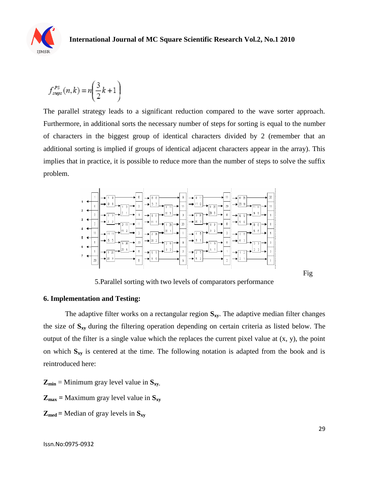

$$
f_{\text{steps}}^{PS}(n,k) = n \left( \frac{3}{2}k + 1 \right)
$$

The parallel strategy leads to a significant reduction compared to the wave sorter approach. Furthermore, in additional sorts the necessary number of steps for sorting is equal to the number of characters in the biggest group of identical characters divided by 2 (remember that an additional sorting is implied if groups of identical adjacent characters appear in the array). This implies that in practice, it is possible to reduce more than the number of steps to solve the suffix problem.



5.Parallel sorting with two levels of comparators performance

#### **6. Implementation and Testing:**

The adaptive filter works on a rectangular region **Sxy**. The adaptive median filter changes the size of **Sxy** during the filtering operation depending on certain criteria as listed below. The output of the filter is a single value which the replaces the current pixel value at (x, y), the point on which **Sxy** is centered at the time. The following notation is adapted from the book and is reintroduced here:

 $Z_{\text{min}}$  = Minimum gray level value in  $S_{xy}$ .

 $Z_{\text{max}}$  = Maximum gray level value in  $S_{xy}$ 

$$
Z_{\text{med}} = \text{Median of gray levels in } S_{xy}
$$

Fig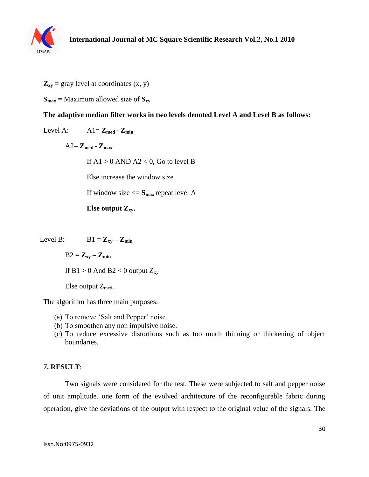

 $\mathbf{Z}_{\mathbf{x}\mathbf{y}}$  = gray level at coordinates  $(\mathbf{x}, \mathbf{y})$ 

 $S_{\text{max}}$  = Maximum allowed size of  $S_{\text{xy}}$ 

# **The adaptive median filter works in two levels denoted Level A and Level B as follows:**

Level A:  $A1 = Z_{\text{med}} - Z_{\text{min}}$ 

 $A2 = Z_{\text{med}} - Z_{\text{max}}$ 

If  $A1 > 0$  AND  $A2 < 0$ , Go to level B

Else increase the window size

If window size  $\leq$  **S**<sub>max</sub> repeat level A

**Else output Zxy.**

Level B:  $B1 = Z_{xy} - Z_{min}$ 

 $B2 = Z_{xy} - Z_{min}$ 

If  $B1 > 0$  And  $B2 < 0$  output  $Z_{xy}$ 

Else output  $Z_{\text{med}}$ .

The algorithm has three main purposes:

- (a) To remove "Salt and Pepper" noise.
- (b) To smoothen any non impulsive noise.
- (c) To reduce excessive distortions such as too much thinning or thickening of object boundaries.

# **7. RESULT**:

Two signals were considered for the test. These were subjected to salt and pepper noise of unit amplitude. one form of the evolved architecture of the reconfigurable fabric during operation, give the deviations of the output with respect to the original value of the signals. The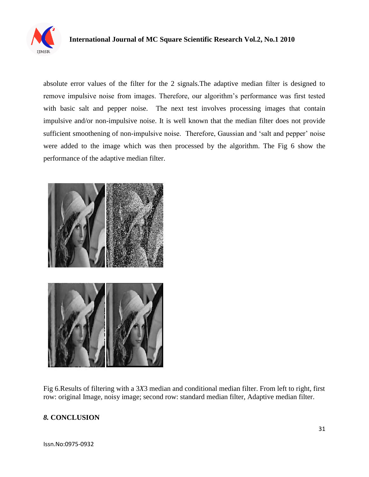

# **International Journal of MC Square Scientific Research Vol.2, No.1 2010**

absolute error values of the filter for the 2 signals.The adaptive median filter is designed to remove impulsive noise from images. Therefore, our algorithm"s performance was first tested with basic salt and pepper noise. The next test involves processing images that contain impulsive and/or non-impulsive noise. It is well known that the median filter does not provide sufficient smoothening of non-impulsive noise. Therefore, Gaussian and 'salt and pepper' noise were added to the image which was then processed by the algorithm. The Fig 6 show the performance of the adaptive median filter.



Fig 6.Results of filtering with a 3*X*3 median and conditional median filter. From left to right, first row: original Image, noisy image; second row: standard median filter, Adaptive median filter.

# *8.* **CONCLUSION**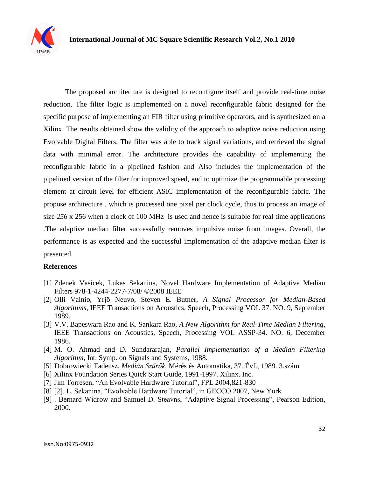

The proposed architecture is designed to reconfigure itself and provide real-time noise reduction. The filter logic is implemented on a novel reconfigurable fabric designed for the specific purpose of implementing an FIR filter using primitive operators, and is synthesized on a Xilinx. The results obtained show the validity of the approach to adaptive noise reduction using Evolvable Digital Filters. The filter was able to track signal variations, and retrieved the signal data with minimal error. The architecture provides the capability of implementing the reconfigurable fabric in a pipelined fashion and Also includes the implementation of the pipelined version of the filter for improved speed, and to optimize the programmable processing element at circuit level for efficient ASIC implementation of the reconfigurable fabric. The propose architecture , which is processed one pixel per clock cycle, thus to process an image of size *256* x 256 when a clock of 100 MHz is used and hence is suitable for real time applications .The adaptive median filter successfully removes impulsive noise from images. Overall, the performance is as expected and the successful implementation of the adaptive median filter is presented.

#### **References**

- [1] Zdenek Vasicek, Lukas Sekanina, Novel Hardware Implementation of Adaptive Median Filters 978-1-4244-2277-7/08/ ©2008 IEEE
- [2] Olli Vainio, Yrjö Neuvo, Steven E. Butner, *A Signal Processor for Median-Based Algorithms*, IEEE Transactions on Acoustics, Speech, Processing VOL 37. NO. 9, September 1989.
- [3] V.V. Bapeswara Rao and K. Sankara Rao, *A New Algorithm for Real-Time Median Filtering*, IEEE Transactions on Acoustics, Speech, Processing VOL ASSP-34. NO. 6, December 1986.
- [4] M. O. Ahmad and D. Sundararajan, *Parallel Implementation of a Median Filtering Algorithm*, Int. Symp. on Signals and Systems, 1988.
- [5] Dobrowiecki Tadeusz, *Medián Szűrők*, Mérés és Automatika, 37. Évf., 1989. 3.szám
- [6] Xilinx Foundation Series Quick Start Guide, 1991-1997. Xilinx. Inc.
- [7] Jim Torresen, "An Evolvable Hardware Tutorial", FPL 2004,821-830
- [8] [2]. L. Sekanina, "Evolvable Hardware Tutorial", in GECCO 2007, New York
- [9] . Bernard Widrow and Samuel D. Steavns, "Adaptive Signal Processing", Pearson Edition, 2000.